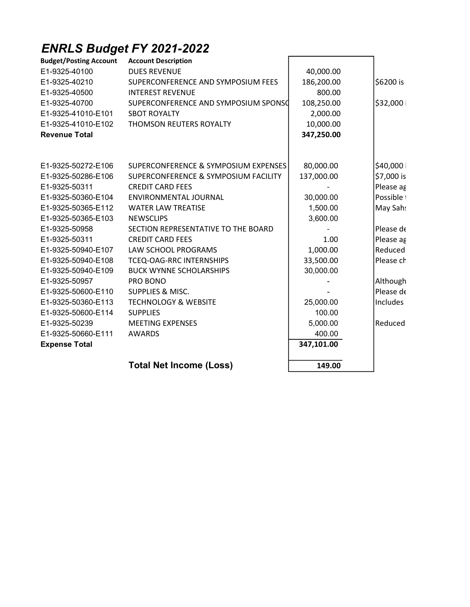## ENRLS Budget FY 2021-2022

| <b>Budget/Posting Account</b> | <b>Account Description</b>           |            |            |
|-------------------------------|--------------------------------------|------------|------------|
| E1-9325-40100                 | <b>DUES REVENUE</b>                  | 40,000.00  |            |
| E1-9325-40210                 | SUPERCONFERENCE AND SYMPOSIUM FEES   | 186,200.00 | \$6200 is  |
| E1-9325-40500                 | <b>INTEREST REVENUE</b>              | 800.00     |            |
| E1-9325-40700                 | SUPERCONFERENCE AND SYMPOSIUM SPONSO | 108,250.00 | \$32,000   |
| E1-9325-41010-E101            | <b>SBOT ROYALTY</b>                  | 2,000.00   |            |
| E1-9325-41010-E102            | THOMSON REUTERS ROYALTY              | 10,000.00  |            |
| <b>Revenue Total</b>          |                                      | 347,250.00 |            |
|                               |                                      |            |            |
| E1-9325-50272-E106            | SUPERCONFERENCE & SYMPOSIUM EXPENSES | 80,000.00  | \$40,000   |
| E1-9325-50286-E106            | SUPERCONFERENCE & SYMPOSIUM FACILITY | 137,000.00 | \$7,000 is |
| E1-9325-50311                 | <b>CREDIT CARD FEES</b>              |            | Please ag  |
| E1-9325-50360-E104            | ENVIRONMENTAL JOURNAL                | 30,000.00  | Possible i |
| E1-9325-50365-E112            | <b>WATER LAW TREATISE</b>            | 1,500.00   | May Sah:   |
| E1-9325-50365-E103            | <b>NEWSCLIPS</b>                     | 3,600.00   |            |
| E1-9325-50958                 | SECTION REPRESENTATIVE TO THE BOARD  |            | Please de  |
| E1-9325-50311                 | <b>CREDIT CARD FEES</b>              | 1.00       | Please ag  |
| E1-9325-50940-E107            | LAW SCHOOL PROGRAMS                  | 1,000.00   | Reduced    |
| E1-9325-50940-E108            | TCEQ-OAG-RRC INTERNSHIPS             | 33,500.00  | Please ch  |
| E1-9325-50940-E109            | <b>BUCK WYNNE SCHOLARSHIPS</b>       | 30,000.00  |            |
| E1-9325-50957                 | PRO BONO                             |            | Although   |
| E1-9325-50600-E110            | SUPPLIES & MISC.                     |            | Please de  |
| E1-9325-50360-E113            | <b>TECHNOLOGY &amp; WEBSITE</b>      | 25,000.00  | Includes   |
| E1-9325-50600-E114            | <b>SUPPLIES</b>                      | 100.00     |            |
| E1-9325-50239                 | <b>MEETING EXPENSES</b>              | 5,000.00   | Reduced    |
| E1-9325-50660-E111            | <b>AWARDS</b>                        | 400.00     |            |
| <b>Expense Total</b>          |                                      | 347,101.00 |            |
|                               | <b>Total Net Income (Loss)</b>       | 149.00     |            |